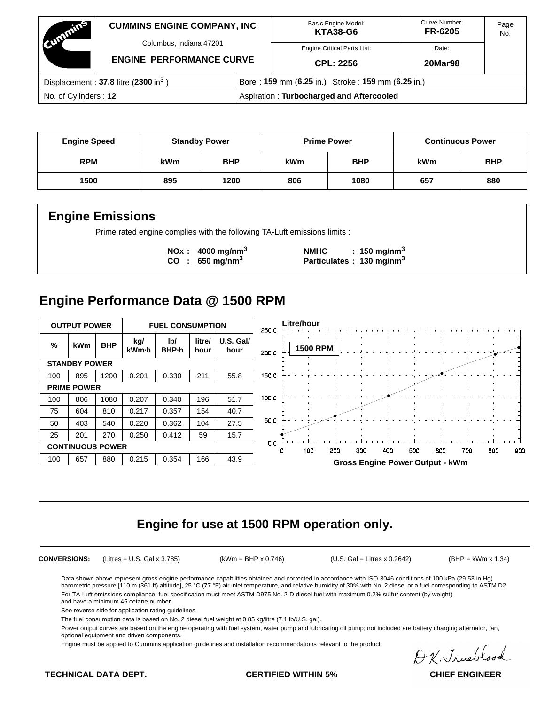| Committee                                          | <b>CUMMINS ENGINE COMPANY, INC</b>                         |                                                   | <b>Basic Engine Model:</b><br><b>KTA38-G6</b> | Curve Number:<br><b>FR-6205</b> | Page<br>No. |
|----------------------------------------------------|------------------------------------------------------------|---------------------------------------------------|-----------------------------------------------|---------------------------------|-------------|
|                                                    | Columbus, Indiana 47201<br><b>ENGINE PERFORMANCE CURVE</b> |                                                   | <b>Engine Critical Parts List:</b>            | Date:                           |             |
|                                                    |                                                            |                                                   | CPL: 2256                                     | <b>20Mar98</b>                  |             |
| Displacement: $37.8$ litre (2300 in <sup>3</sup> ) |                                                            | Bore: 159 mm (6.25 in.) Stroke: 159 mm (6.25 in.) |                                               |                                 |             |
| No. of Cylinders: 12                               |                                                            | Aspiration: Turbocharged and Aftercooled          |                                               |                                 |             |

| <b>Engine Speed</b> | <b>Standby Power</b> |            | <b>Prime Power</b> |            | <b>Continuous Power</b> |            |
|---------------------|----------------------|------------|--------------------|------------|-------------------------|------------|
| <b>RPM</b>          | <b>kWm</b>           | <b>BHP</b> | kWm                | <b>BHP</b> | <b>kWm</b>              | <b>BHP</b> |
| 1500                | 895                  | 1200       | 806                | 1080       | 657                     | 880        |

## **Engine Emissions**

Prime rated engine complies with the following TA-Luft emissions limits :

**NOx : 4000 mg/nm<sup>3</sup> NMHC : 150 mg/nm<sup>3</sup> CO : 650 mg/nm3 Particulates : 130 mg/nm3**

## **Engine Performance Data @ 1500 RPM**



## **Engine for use at 1500 RPM operation only.**

**CONVERSIONS:** (Litres = U.S. Gal x 3.785) (kWm = BHP x 0.746) (U.S. Gal = Litres x 0.2642) (BHP = kWm x 1.34)

Data shown above represent gross engine performance capabilities obtained and corrected in accordance with ISO-3046 conditions of 100 kPa (29.53 in Hg) barometric pressure [110 m (361 ft) altitude], 25 °C (77 °F) air inlet temperature, and relative humidity of 30% with No. 2 diesel or a fuel corresponding to ASTM D2. For TA-Luft emissions compliance, fuel specification must meet ASTM D975 No. 2-D diesel fuel with maximum 0.2% sulfur content (by weight) and have a minimum 45 cetane number.

See reverse side for application rating guidelines.

The fuel consumption data is based on No. 2 diesel fuel weight at 0.85 kg/litre (7.1 lb/U.S. gal).

Power output curves are based on the engine operating with fuel system, water pump and lubricating oil pump; not included are battery charging alternator, fan, optional equipment and driven components.

Engine must be applied to Cummins application guidelines and installation recommendations relevant to the product.

D.K. Jrueblood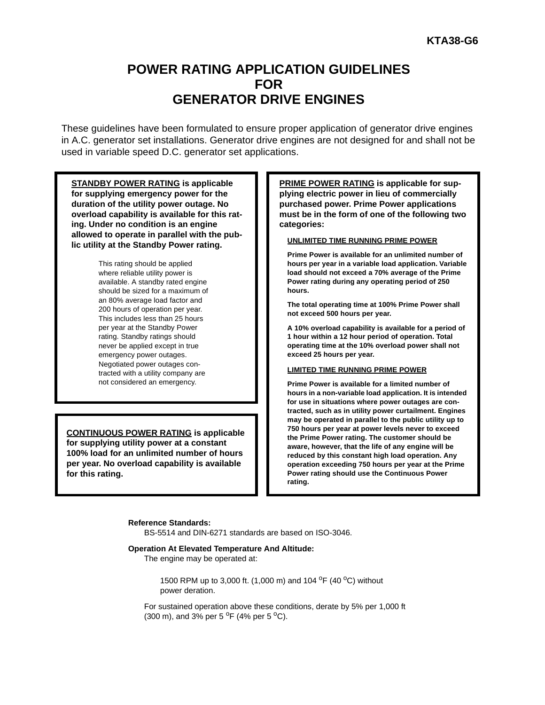## **POWER RATING APPLICATION GUIDELINES FOR GENERATOR DRIVE ENGINES**

These guidelines have been formulated to ensure proper application of generator drive engines in A.C. generator set installations. Generator drive engines are not designed for and shall not be used in variable speed D.C. generator set applications.

**STANDBY POWER RATING is applicable for supplying emergency power for the duration of the utility power outage. No overload capability is available for this rating. Under no condition is an engine allowed to operate in parallel with the public utility at the Standby Power rating.**

> This rating should be applied where reliable utility power is available. A standby rated engine should be sized for a maximum of an 80% average load factor and 200 hours of operation per year. This includes less than 25 hours per year at the Standby Power rating. Standby ratings should never be applied except in true emergency power outages. Negotiated power outages contracted with a utility company are not considered an emergency.

**CONTINUOUS POWER RATING is applicable for supplying utility power at a constant 100% load for an unlimited number of hours per year. No overload capability is available for this rating.**

**PRIME POWER RATING is applicable for supplying electric power in lieu of commercially purchased power. Prime Power applications must be in the form of one of the following two categories:**

#### **UNLIMITED TIME RUNNING PRIME POWER**

**Prime Power is available for an unlimited number of hours per year in a variable load application. Variable load should not exceed a 70% average of the Prime Power rating during any operating period of 250 hours.**

**The total operating time at 100% Prime Power shall not exceed 500 hours per year.**

**A 10% overload capability is available for a period of 1 hour within a 12 hour period of operation. Total operating time at the 10% overload power shall not exceed 25 hours per year.**

#### **LIMITED TIME RUNNING PRIME POWER**

**Prime Power is available for a limited number of hours in a non-variable load application. It is intended for use in situations where power outages are contracted, such as in utility power curtailment. Engines may be operated in parallel to the public utility up to 750 hours per year at power levels never to exceed the Prime Power rating. The customer should be aware, however, that the life of any engine will be reduced by this constant high load operation. Any operation exceeding 750 hours per year at the Prime Power rating should use the Continuous Power rating.**

#### **Reference Standards:**

BS-5514 and DIN-6271 standards are based on ISO-3046.

#### **Operation At Elevated Temperature And Altitude:**

The engine may be operated at:

1500 RPM up to 3,000 ft. (1,000 m) and 104 <sup>o</sup>F (40 <sup>o</sup>C) without power deration.

For sustained operation above these conditions, derate by 5% per 1,000 ft (300 m), and 3% per 5  $^{\circ}$ F (4% per 5  $^{\circ}$ C).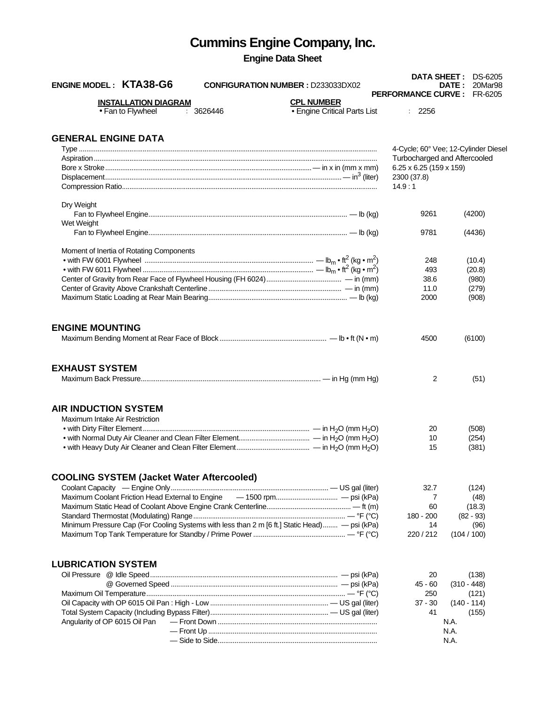# **Cummins Engine Company, Inc.**

# **Engine Data Sheet**

| <b>ENGINE MODEL: KTA38-G6</b><br><b>CONFIGURATION NUMBER : D233033DX02</b>                    |                                                   |                                               | <b>DATA SHEET: DS-6205</b><br><b>DATE: 20Mar98</b><br><b>PERFORMANCE CURVE: FR-6205</b> |
|-----------------------------------------------------------------------------------------------|---------------------------------------------------|-----------------------------------------------|-----------------------------------------------------------------------------------------|
| <b>INSTALLATION DIAGRAM</b><br>: 3626446<br>• Fan to Flywheel                                 | <b>CPL NUMBER</b><br>• Engine Critical Parts List | : 2256                                        |                                                                                         |
|                                                                                               |                                                   |                                               |                                                                                         |
| <b>GENERAL ENGINE DATA</b>                                                                    |                                                   |                                               |                                                                                         |
|                                                                                               |                                                   |                                               | 4-Cycle; 60° Vee; 12-Cylinder Diesel                                                    |
|                                                                                               |                                                   |                                               | Turbocharged and Aftercooled                                                            |
|                                                                                               |                                                   | $6.25 \times 6.25$ (159 x 159)<br>2300 (37.8) |                                                                                         |
|                                                                                               |                                                   | 14.9:1                                        |                                                                                         |
| Dry Weight                                                                                    |                                                   |                                               |                                                                                         |
|                                                                                               |                                                   | 9261                                          | (4200)                                                                                  |
| Wet Weight                                                                                    |                                                   |                                               |                                                                                         |
|                                                                                               |                                                   | 9781                                          | (4436)                                                                                  |
| Moment of Inertia of Rotating Components                                                      |                                                   |                                               |                                                                                         |
|                                                                                               |                                                   | 248                                           | (10.4)                                                                                  |
|                                                                                               |                                                   | 493                                           | (20.8)                                                                                  |
|                                                                                               |                                                   | 38.6                                          | (980)                                                                                   |
|                                                                                               |                                                   | 11.0                                          | (279)                                                                                   |
|                                                                                               |                                                   | 2000                                          | (908)                                                                                   |
| <b>ENGINE MOUNTING</b>                                                                        |                                                   |                                               |                                                                                         |
|                                                                                               |                                                   | 4500                                          | (6100)                                                                                  |
|                                                                                               |                                                   |                                               |                                                                                         |
| <b>EXHAUST SYSTEM</b>                                                                         |                                                   |                                               |                                                                                         |
|                                                                                               |                                                   | 2                                             | (51)                                                                                    |
|                                                                                               |                                                   |                                               |                                                                                         |
| <b>AIR INDUCTION SYSTEM</b>                                                                   |                                                   |                                               |                                                                                         |
| Maximum Intake Air Restriction                                                                |                                                   |                                               |                                                                                         |
|                                                                                               |                                                   | 20                                            | (508)                                                                                   |
|                                                                                               |                                                   | 10                                            | (254)                                                                                   |
|                                                                                               |                                                   | 15                                            | (381)                                                                                   |
| <b>COOLING SYSTEM (Jacket Water Aftercooled)</b>                                              |                                                   |                                               |                                                                                         |
|                                                                                               |                                                   | 32.7                                          | (124)                                                                                   |
|                                                                                               |                                                   | 7                                             | (48)                                                                                    |
|                                                                                               |                                                   | 60                                            | (18.3)                                                                                  |
|                                                                                               |                                                   | 180 - 200                                     | $(82 - 93)$                                                                             |
| Minimum Pressure Cap (For Cooling Systems with less than 2 m [6 ft.] Static Head) - psi (kPa) |                                                   | 14                                            | (96)                                                                                    |
|                                                                                               |                                                   | 220/212                                       | (104/100)                                                                               |
|                                                                                               |                                                   |                                               |                                                                                         |
| <b>LUBRICATION SYSTEM</b>                                                                     |                                                   |                                               |                                                                                         |
|                                                                                               |                                                   | 20                                            | (138)                                                                                   |
|                                                                                               |                                                   | 45 - 60                                       | $(310 - 448)$                                                                           |
|                                                                                               |                                                   | 250                                           | (121)                                                                                   |
|                                                                                               |                                                   | $37 - 30$                                     | $(140 - 114)$                                                                           |
|                                                                                               |                                                   | 41                                            | (155)                                                                                   |
| Angularity of OP 6015 Oil Pan                                                                 |                                                   |                                               | N.A.                                                                                    |
|                                                                                               |                                                   |                                               | N.A.                                                                                    |
|                                                                                               |                                                   |                                               | N.A.                                                                                    |